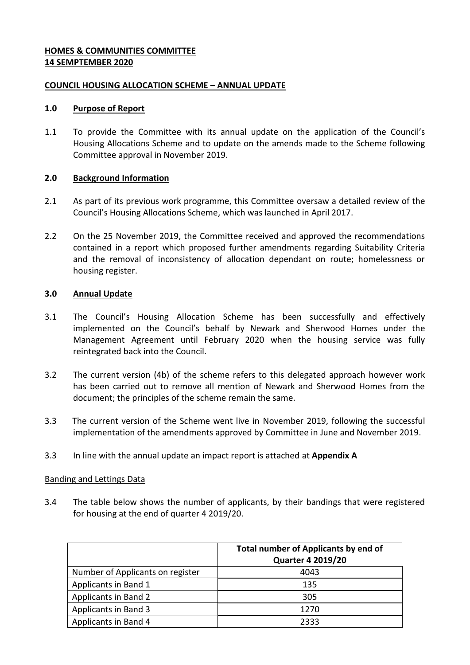# **HOMES & COMMUNITIES COMMITTEE 14 SEMPTEMBER 2020**

## **COUNCIL HOUSING ALLOCATION SCHEME – ANNUAL UPDATE**

## **1.0 Purpose of Report**

1.1 To provide the Committee with its annual update on the application of the Council's Housing Allocations Scheme and to update on the amends made to the Scheme following Committee approval in November 2019.

## **2.0 Background Information**

- 2.1 As part of its previous work programme, this Committee oversaw a detailed review of the Council's Housing Allocations Scheme, which was launched in April 2017.
- 2.2 On the 25 November 2019, the Committee received and approved the recommendations contained in a report which proposed further amendments regarding Suitability Criteria and the removal of inconsistency of allocation dependant on route; homelessness or housing register.

## **3.0 Annual Update**

- 3.1 The Council's Housing Allocation Scheme has been successfully and effectively implemented on the Council's behalf by Newark and Sherwood Homes under the Management Agreement until February 2020 when the housing service was fully reintegrated back into the Council.
- 3.2 The current version (4b) of the scheme refers to this delegated approach however work has been carried out to remove all mention of Newark and Sherwood Homes from the document; the principles of the scheme remain the same.
- 3.3 The current version of the Scheme went live in November 2019, following the successful implementation of the amendments approved by Committee in June and November 2019.
- 3.3 In line with the annual update an impact report is attached at **Appendix A**

### Banding and Lettings Data

3.4 The table below shows the number of applicants, by their bandings that were registered for housing at the end of quarter 4 2019/20.

|                                  | Total number of Applicants by end of<br><b>Quarter 4 2019/20</b> |
|----------------------------------|------------------------------------------------------------------|
| Number of Applicants on register | 4043                                                             |
| Applicants in Band 1             | 135                                                              |
| Applicants in Band 2             | 305                                                              |
| Applicants in Band 3             | 1270                                                             |
| Applicants in Band 4             | 2333                                                             |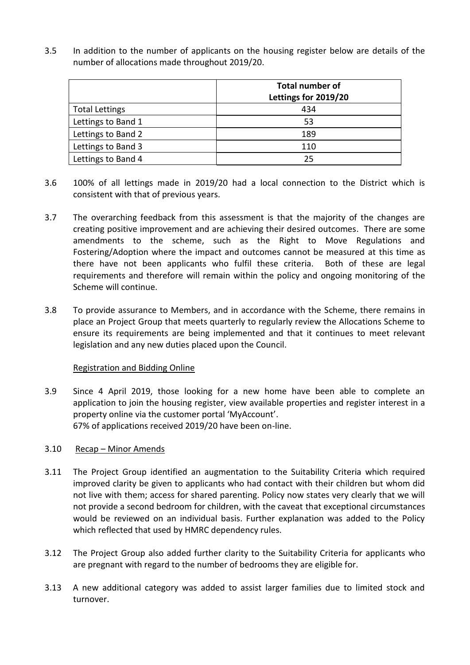3.5 In addition to the number of applicants on the housing register below are details of the number of allocations made throughout 2019/20.

|                       | <b>Total number of</b><br>Lettings for 2019/20 |
|-----------------------|------------------------------------------------|
| <b>Total Lettings</b> | 434                                            |
| Lettings to Band 1    | 53                                             |
| Lettings to Band 2    | 189                                            |
| Lettings to Band 3    | 110                                            |
| Lettings to Band 4    | 25                                             |

- 3.6 100% of all lettings made in 2019/20 had a local connection to the District which is consistent with that of previous years.
- 3.7 The overarching feedback from this assessment is that the majority of the changes are creating positive improvement and are achieving their desired outcomes. There are some amendments to the scheme, such as the Right to Move Regulations and Fostering/Adoption where the impact and outcomes cannot be measured at this time as there have not been applicants who fulfil these criteria. Both of these are legal requirements and therefore will remain within the policy and ongoing monitoring of the Scheme will continue.
- 3.8 To provide assurance to Members, and in accordance with the Scheme, there remains in place an Project Group that meets quarterly to regularly review the Allocations Scheme to ensure its requirements are being implemented and that it continues to meet relevant legislation and any new duties placed upon the Council.

### Registration and Bidding Online

3.9 Since 4 April 2019, those looking for a new home have been able to complete an application to join the housing register, view available properties and register interest in a property online via the customer portal 'MyAccount'. 67% of applications received 2019/20 have been on-line.

### 3.10 Recap – Minor Amends

- 3.11 The Project Group identified an augmentation to the Suitability Criteria which required improved clarity be given to applicants who had contact with their children but whom did not live with them; access for shared parenting. Policy now states very clearly that we will not provide a second bedroom for children, with the caveat that exceptional circumstances would be reviewed on an individual basis. Further explanation was added to the Policy which reflected that used by HMRC dependency rules.
- 3.12 The Project Group also added further clarity to the Suitability Criteria for applicants who are pregnant with regard to the number of bedrooms they are eligible for.
- 3.13 A new additional category was added to assist larger families due to limited stock and turnover.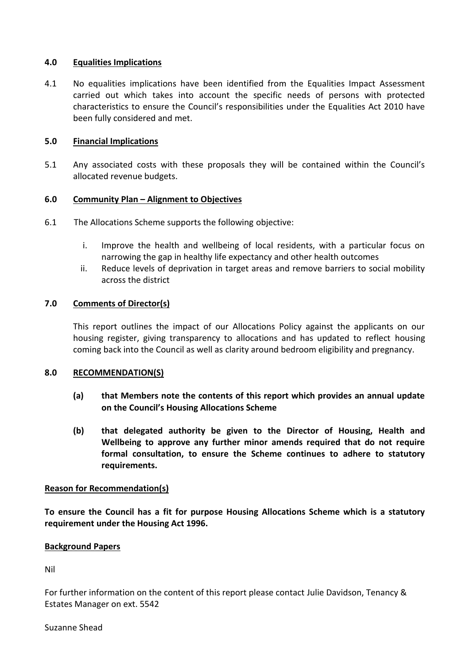## **4.0 Equalities Implications**

4.1 No equalities implications have been identified from the Equalities Impact Assessment carried out which takes into account the specific needs of persons with protected characteristics to ensure the Council's responsibilities under the Equalities Act 2010 have been fully considered and met.

# **5.0 Financial Implications**

5.1 Any associated costs with these proposals they will be contained within the Council's allocated revenue budgets.

## **6.0 Community Plan – Alignment to Objectives**

- 6.1 The Allocations Scheme supports the following objective:
	- i. Improve the health and wellbeing of local residents, with a particular focus on narrowing the gap in healthy life expectancy and other health outcomes
	- ii. Reduce levels of deprivation in target areas and remove barriers to social mobility across the district

### **7.0 Comments of Director(s)**

This report outlines the impact of our Allocations Policy against the applicants on our housing register, giving transparency to allocations and has updated to reflect housing coming back into the Council as well as clarity around bedroom eligibility and pregnancy.

### **8.0 RECOMMENDATION(S)**

- **(a) that Members note the contents of this report which provides an annual update on the Council's Housing Allocations Scheme**
- **(b) that delegated authority be given to the Director of Housing, Health and Wellbeing to approve any further minor amends required that do not require formal consultation, to ensure the Scheme continues to adhere to statutory requirements.**

### **Reason for Recommendation(s)**

**To ensure the Council has a fit for purpose Housing Allocations Scheme which is a statutory requirement under the Housing Act 1996.**

### **Background Papers**

Nil

For further information on the content of this report please contact Julie Davidson, Tenancy & Estates Manager on ext. 5542